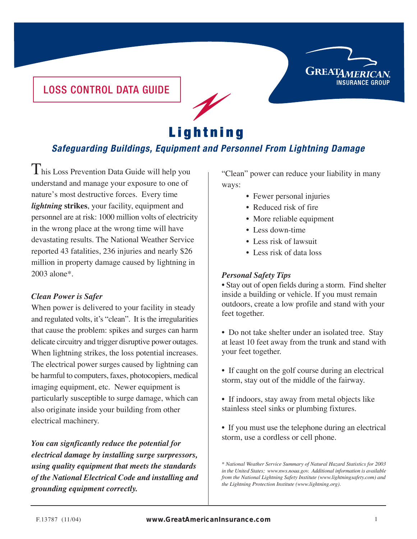

### LOSS CONTROL DATA GUIDE

# **Lightning**

## **Safeguarding Buildings, Equipment and Personnel From Lightning Damage**

 ${\rm T}$ his Loss Prevention Data Guide will help you understand and manage your exposure to one of nature's most destructive forces. Every time *lightning* **strikes**, your facility, equipment and personnel are at risk: 1000 million volts of electricity in the wrong place at the wrong time will have devastating results. The National Weather Service reported 43 fatalities, 236 injuries and nearly \$26 million in property damage caused by lightning in 2003 alone\*.

#### *Clean Power is Safer*

When power is delivered to your facility in steady and regulated volts, it's "clean". It is the irregularities that cause the problem: spikes and surges can harm delicate circuitry and trigger disruptive power outages. When lightning strikes, the loss potential increases. The electrical power surges caused by lightning can be harmful to computers, faxes, photocopiers, medical imaging equipment, etc. Newer equipment is particularly susceptible to surge damage, which can also originate inside your building from other electrical machinery.

*You can signficantly reduce the potential for electrical damage by installing surge surpressors, using quality equipment that meets the standards of the National Electrical Code and installing and grounding equipment correctly.*

"Clean" power can reduce your liability in many ways:

- Fewer personal injuries
- Reduced risk of fire
- More reliable equipment
- Less down-time
- Less risk of lawsuit
- Less risk of data loss

#### *Personal Safety Tips*

• Stay out of open fields during a storm. Find shelter inside a building or vehicle. If you must remain outdoors, create a low profile and stand with your feet together.

• Do not take shelter under an isolated tree. Stay at least 10 feet away from the trunk and stand with your feet together.

- If caught on the golf course during an electrical storm, stay out of the middle of the fairway.
- If indoors, stay away from metal objects like stainless steel sinks or plumbing fixtures.
- If you must use the telephone during an electrical storm, use a cordless or cell phone.

*<sup>\*</sup> National Weather Service Summary of Natural Hazard Statistics for 2003 in the United States; www.nws.noaa.gov. Additional information is available from the National Lightning Safety Institute (www.lightningsafety.com) and the Lightning Protection Institute (www.lightning.org).*